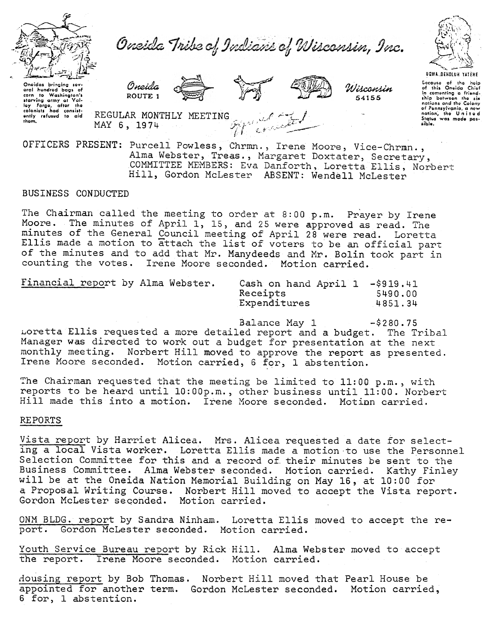



Oneidas bringing sov-<br>eral hundred bags of oral hundrod corn 10 Washington's starving army at Val-<br>ley Forgo, after the<br>colonists had consist-<br>ontly refused to aid REGULA<br>thom. MAY 6 '\<br>\;<br>\;  $J'$   $\mathcal{D}$ 

Wisconsin 54155

Cocauto of the heli<br>of this Oneida Chie in comenting a friend-<br>ship between the six<br>nations and the Colony of Pennsylvania, a now R MONTHLY MEETTING  $\overline{A}$   $\overline{A}$  and  $\overline{A}$  and  $\overline{A}$  is a notion; Ino United

of Pennsylvania, a new<br>REGULAR MONTHLY MEETING Contract of the Contract of Pennsylvania, a new Regies was made position.  $1974$  and  $f_{\gamma,k}$ :  $\ell \in \mathbb{Z}$ ,  $\ell \in \mathbb{Z}$ 

Oneida ROUTE 1

Hill, Gordon McLester ABSENT: Wendell McLester OFFICERS PRESENT: Purcell Powless, Chrmn., Irene Moore, Vice-Chrmn Alma Webster, Treas., Margaret Doxtater, Secretary, COMMITTEE MEMBERS: Eva Danforth, Loretta Ellis, Norbert

## BUSINESS CONDUCTED

The Chairman called the meeting to order at  $8:00$  p.m. Prayer by Irene The minutes of April 1, 15, and 25 were approved as read. The minutes of the General Council meeting of April 28 were read. Loretta Ellis made a motion to attach the list of voters to be an official part of the minutes and to add that Mr. Manydeeds and Mr. Bolin took part in counting the votes. Irene Moore seconded. Motion carried.

| Financial report by Alma Webster. |  | Cash on hand April 1 -\$919.41 |         |
|-----------------------------------|--|--------------------------------|---------|
|                                   |  | Receipts                       | 5490.00 |
|                                   |  | Expenditures                   | 4851.34 |

Balance May 1 -\$280.75 Loretta Ellis requested a more detailed report and a budget. The Tribal Manager was directed to work out a budget for presentation at the next monthly meeting. Norbert Hill moved to approve the report as presented. Irene Moore seconded. Motion carried, 6 for, 1 abstention.

The Chairman requested that the meeting be limited to 11:00 p.m., with reports to be heard until 10:00p.m., other business until 11:00. Norbert Hill made this into a motion. Irene Moore seconded. Motion carried.

## REPORTS

Vista report by Harriet Alicea. Mrs. Alicea requested a date for selecting a local Vista worker. Loretta Ellis made a motion.to use the Personnel Selection Committee for this and a record of their minutes be sent to the Business Committee. Alma Webster seconded. Motion carried. Kathy Finley will be at the Oneida Nation Memorial Building on May 16, at 10:00 for a, Proposal Writing Course. Norbert Hill moved to accept the Vista report.. Gordon McLester seqohded. Motion carried.

report by Sandra Ninham. Loretta Ellis moved to accept the re Gordon McLester seconded. Motion carri

Youth Service Bureau report by Rick Hill. Alma Webster moved to accept the report. Irene Moore seconded. Motion carried.

Housing report by Bob Thomas. Norbert Hill moved that Pearl House be appointed for another term. Gordon McLester seconded. Motion carri 6 for, 1 abstention.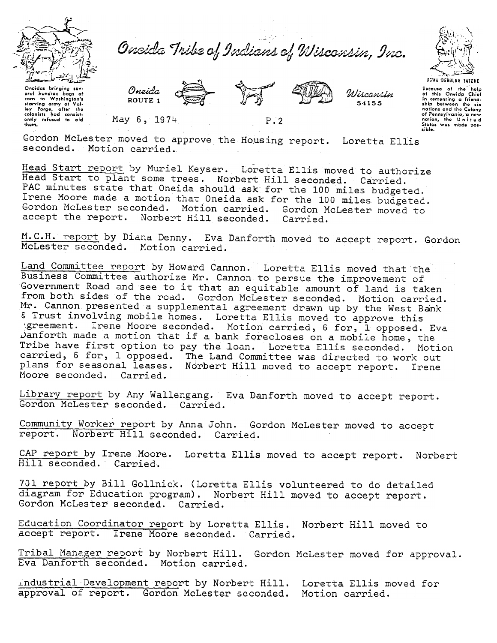

Onside Tribe of Indians of Wisconsin, Inc.

Oneidas bringing sev-Oneidas bringing sev-<br>eral hundred bags of<br>corn to Washington's<br>starving army at Val-<br>ley forge, after the<br>clonists hod consist-<br>ently refused to aid<br>them,

Oneida ROUTE<sub>1</sub> May 6, 1974



 $P \cdot 2$ 





UGWA DEHOLUN YATENE Docauso of the help<br>of this Onvide Chief<br>in comenting a friend-<br>ship between the six nations and the Colony<br>of Pennsylvania, a new nation, the United sible.

Gordon McLester moved to approve the Housing report. Loretta Ellis seconded. Motion carried.

Head Start report by Muriel Keyser. Loretta Ellis moved to authorize Head Start to plant some trees. Norbert Hill seconded. Carried. PAC minutes state that Oneida should ask for the 100 miles budgeted. Irene Moore made a motion that Oneida ask for the 100 miles budgeted. Gordon McLester seconded. Motion carried. Gordon McLester moved to accept the report. Norbert Hill seconded. Carried.

M.C.H. report by Diana Denny. Eva Danforth moved to accept report. Gordon McLester seconded. Motion carried.

Land Committee report by Howard Cannon. Loretta Ellis moved that the Business Committee authorize Mr. Cannon to persue the improvement of Government Road and see to it that an equitable amount of land is taken from both sides of the road. Gordon McLester seconded. Motion carried. Mr. Cannon presented a supplemental agreement drawn up by the West Bank & Trust involving mobile homes. Loretta Ellis moved to approve this<br>expreement. Irene Moore seconded. Motion carried, 6 for, 1 opposed. Eva Danforth made a motion that if a bank forecloses on a mobile home, the Tribe have first option to pay the loan. Loretta Ellis seconded. Motion carried, 6 for, 1 opposed. The Land Committee was directed to work out plans for seasonal leases. Norbert Hill moved to accept report. Irene Moore seconded. Carried.

Library report by Any Wallengang. Eva Danforth moved to accept report. Gordon McLester seconded. Carried.

Community Worker report by Anna John. Gordon McLester moved to accept report. Norbert Hill seconded. Carried.

CAP report by Irene Moore. Loretta Ellis moved to accept report. Norbert Hill seconded. Carried.

701 report by Bill Gollnick. (Loretta Ellis volunteered to do detailed diagram for Education program). Norbert Hill moved to accept report. Gordon McLester seconded. Carried.

Education Coordinator report by Loretta Ellis. Norbert Hill moved to accept report. Irene Moore seconded. Carried.

Tribal Manager report by Norbert Hill. Gordon McLester moved for approval. Eva Danforth seconded. Motion carried.

Industrial Development report by Norbert Hill. Loretta Ellis moved for approval of report. Gordon McLester seconded. Motion carried.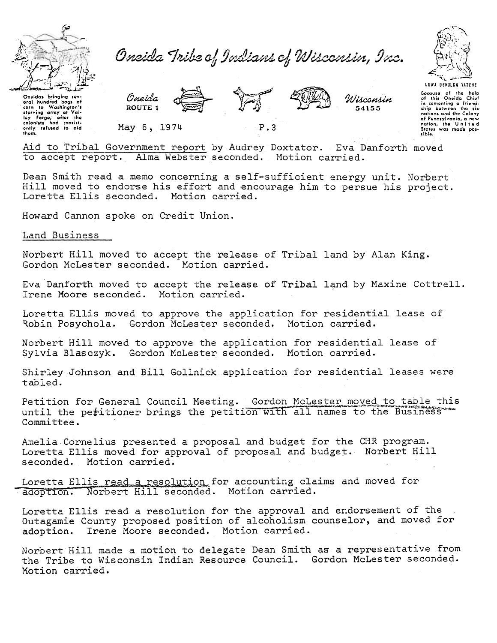

Oneida Tribe of Indians of Wisconsin, Inc.



Oncidas bringing sev Oneidas Erringing sevi-<br>oral hundred bags of<br>corn to Washington's<br>starving army at Val-<br>colonists had consist-<br>only refused to aid<br>them. Oneida ROUTE 1



Wisconsin 54155

Bocause of the holp<br>of this Oneida Chief of this Oneida Chief<br>in comenting a friend-<br>ship between the sixnations and the Colony<br>of Pennsylvania, a new nation, the United<br>States was made poscible.

May 6, 1974

 $P.3$ 

Aid to Tribal Government report by Audrey Doxtator. Eva Danforth moved to accept report. Alma Webster seconded. Motion carried.

Dean Smith read a memo concerning a self-sufficient energy unit. Norbert Hill moved to endorse his effort and encourage him to persue his project. Loretta Ellis seconded. Motion carried.

Howard Cannon spoke on Credit Union.

Land Business

Norbert Hill moved to accept the release of Tribal land by Alan King. Gordon McLester seconded. Motion carried.

Eva Danforth moved to accept the release of Tribal land by Maxine Cottrell. Irene Moore seconded. Motion carried.

Loretta Ellis moved to approve the application for residential lease of Robin Posychola. Gordon McLester seconded. Motion carried.

Norbert Hill moved to approve the application for residential lease of Sylvia Blasczyk. Gordon McLester seconded. Motion carried.

Shirley Johnson and Bill Gollnick application for residential leases were tabled.

Petition for General Council Meeting. Gordon McLester moved to table this until the peritioner brings the petition with all names to the Business Committee.

Amelia Cornelius presented a proposal and budget for the CHR program. Loretta Ellis moved for approval of proposal and budget. Norbert Hill seconded. Motion carried.

Loretta Ellis read a resolution for accounting claims and moved for adoption. Norbert Hill seconded. Motion carried.

Loretta Ellis read a resolution for the approval and endorsement of the Outagamie County proposed position of alcoholism counselor, and moved for Irene Moore seconded. Motion carried. adoption.

Norbert Hill made a motion to delegate Dean Smith as a representative from the Tribe to Wisconsin Indian Resource Council. Gordon McLester seconded. Motion carried.